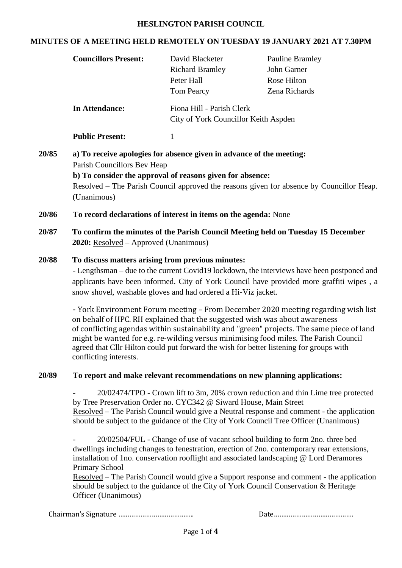#### **HESLINGTON PARISH COUNCIL**

### **MINUTES OF A MEETING HELD REMOTELY ON TUESDAY 19 JANUARY 2021 AT 7.30PM**

| 20/85<br>(Unanimous)<br>20/86<br>20/87<br>20/88                                                                                                                                                                                           | <b>In Attendance:</b><br><b>Public Present:</b><br>$\mathbf{1}$<br>Parish Councillors Bev Heap                                                                                                                                                                                                               | Fiona Hill - Parish Clerk<br>City of York Councillor Keith Aspden<br>a) To receive apologies for absence given in advance of the meeting:<br>b) To consider the approval of reasons given for absence: | <u>Resolved</u> – The Parish Council approved the reasons given for absence by Councillor Heap.                                                                                                                                                                          |  |  |  |
|-------------------------------------------------------------------------------------------------------------------------------------------------------------------------------------------------------------------------------------------|--------------------------------------------------------------------------------------------------------------------------------------------------------------------------------------------------------------------------------------------------------------------------------------------------------------|--------------------------------------------------------------------------------------------------------------------------------------------------------------------------------------------------------|--------------------------------------------------------------------------------------------------------------------------------------------------------------------------------------------------------------------------------------------------------------------------|--|--|--|
|                                                                                                                                                                                                                                           |                                                                                                                                                                                                                                                                                                              |                                                                                                                                                                                                        |                                                                                                                                                                                                                                                                          |  |  |  |
|                                                                                                                                                                                                                                           |                                                                                                                                                                                                                                                                                                              |                                                                                                                                                                                                        |                                                                                                                                                                                                                                                                          |  |  |  |
|                                                                                                                                                                                                                                           |                                                                                                                                                                                                                                                                                                              |                                                                                                                                                                                                        |                                                                                                                                                                                                                                                                          |  |  |  |
|                                                                                                                                                                                                                                           | To record declarations of interest in items on the agenda: None                                                                                                                                                                                                                                              |                                                                                                                                                                                                        |                                                                                                                                                                                                                                                                          |  |  |  |
|                                                                                                                                                                                                                                           | To confirm the minutes of the Parish Council Meeting held on Tuesday 15 December<br>2020: Resolved – Approved (Unanimous)                                                                                                                                                                                    |                                                                                                                                                                                                        |                                                                                                                                                                                                                                                                          |  |  |  |
|                                                                                                                                                                                                                                           | To discuss matters arising from previous minutes:<br>- Lengthsman – due to the current Covid19 lockdown, the interviews have been postponed and<br>applicants have been informed. City of York Council have provided more graffiti wipes, a<br>snow shovel, washable gloves and had ordered a Hi-Viz jacket. |                                                                                                                                                                                                        |                                                                                                                                                                                                                                                                          |  |  |  |
|                                                                                                                                                                                                                                           | conflicting interests.                                                                                                                                                                                                                                                                                       | on behalf of HPC. RH explained that the suggested wish was about awareness<br>agreed that Cllr Hilton could put forward the wish for better listening for groups with                                  | - York Environment Forum meeting - From December 2020 meeting regarding wish list<br>of conflicting agendas within sustainability and "green" projects. The same piece of land<br>might be wanted for e.g. re-wilding versus minimising food miles. The Parish Council   |  |  |  |
| 20/89                                                                                                                                                                                                                                     | To report and make relevant recommendations on new planning applications:                                                                                                                                                                                                                                    |                                                                                                                                                                                                        |                                                                                                                                                                                                                                                                          |  |  |  |
|                                                                                                                                                                                                                                           |                                                                                                                                                                                                                                                                                                              | by Tree Preservation Order no. CYC342 @ Siward House, Main Street                                                                                                                                      | 20/02474/TPO - Crown lift to 3m, 20% crown reduction and thin Lime tree protected<br>Resolved – The Parish Council would give a Neutral response and comment - the application<br>should be subject to the guidance of the City of York Council Tree Officer (Unanimous) |  |  |  |
| <b>Primary School</b><br><u>Resolved</u> – The Parish Council would give a Support response and comment - the application<br>should be subject to the guidance of the City of York Council Conservation & Heritage<br>Officer (Unanimous) |                                                                                                                                                                                                                                                                                                              |                                                                                                                                                                                                        | 20/02504/FUL - Change of use of vacant school building to form 2no. three bed<br>dwellings including changes to fenestration, erection of 2no. contemporary rear extensions,<br>installation of 1no. conservation rooflight and associated landscaping @ Lord Deramores  |  |  |  |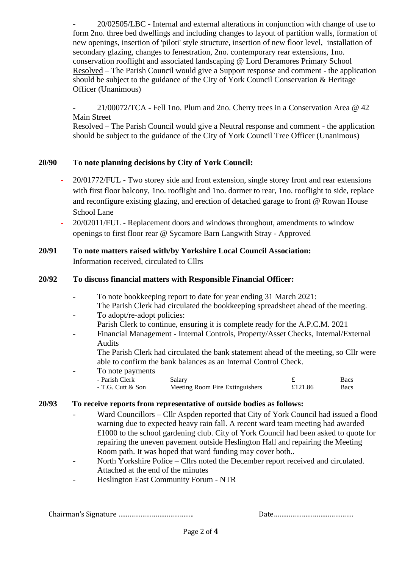- 20/02505/LBC - Internal and external alterations in conjunction with change of use to form 2no. three bed dwellings and including changes to layout of partition walls, formation of new openings, insertion of 'piloti' style structure, insertion of new floor level, installation of secondary glazing, changes to fenestration, 2no. contemporary rear extensions, 1no. conservation rooflight and associated landscaping @ Lord Deramores Primary School Resolved – The Parish Council would give a Support response and comment - the application should be subject to the guidance of the City of York Council Conservation & Heritage Officer (Unanimous)

- 21/00072/TCA - Fell 1no. Plum and 2no. Cherry trees in a Conservation Area @ 42 Main Street

Resolved – The Parish Council would give a Neutral response and comment - the application should be subject to the guidance of the City of York Council Tree Officer (Unanimous)

### **20/90 To note planning decisions by City of York Council:**

- **-** 20/01772/FUL Two storey side and front extension, single storey front and rear extensions with first floor balcony, 1no. rooflight and 1no. dormer to rear, 1no. rooflight to side, replace and reconfigure existing glazing, and erection of detached garage to front @ Rowan House School Lane
- **-** 20/02011/FUL Replacement doors and windows throughout, amendments to window openings to first floor rear @ Sycamore Barn Langwith Stray - Approved

## **20/91 To note matters raised with/by Yorkshire Local Council Association:** Information received, circulated to Cllrs

### **20/92 To discuss financial matters with Responsible Financial Officer:**

- To note bookkeeping report to date for year ending 31 March 2021:
- The Parish Clerk had circulated the bookkeeping spreadsheet ahead of the meeting.
- To adopt/re-adopt policies:
- Parish Clerk to continue, ensuring it is complete ready for the A.P.C.M. 2021
- Financial Management Internal Controls, Property/Asset Checks, Internal/External Audits

The Parish Clerk had circulated the bank statement ahead of the meeting, so Cllr were able to confirm the bank balances as an Internal Control Check.

To note payments

| - Parish Clerk    | Salary                          |         | Bacs |
|-------------------|---------------------------------|---------|------|
| - T.G. Cutt & Son | Meeting Room Fire Extinguishers | £121.86 | Bacs |

### **20/93 To receive reports from representative of outside bodies as follows:**

- Ward Councillors Cllr Aspden reported that City of York Council had issued a flood warning due to expected heavy rain fall. A recent ward team meeting had awarded £1000 to the school gardening club. City of York Council had been asked to quote for repairing the uneven pavement outside Heslington Hall and repairing the Meeting Room path. It was hoped that ward funding may cover both..
- North Yorkshire Police Cllrs noted the December report received and circulated. Attached at the end of the minutes
- Heslington East Community Forum NTR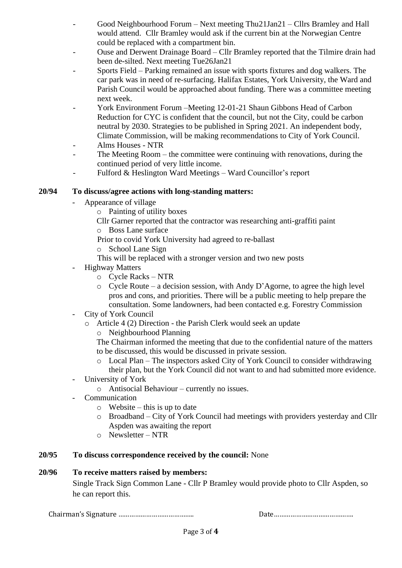- Good Neighbourhood Forum Next meeting Thu21Jan21 Cllrs Bramley and Hall would attend. Cllr Bramley would ask if the current bin at the Norwegian Centre could be replaced with a compartment bin.
- Ouse and Derwent Drainage Board Cllr Bramley reported that the Tilmire drain had been de-silted. Next meeting Tue26Jan21
- Sports Field Parking remained an issue with sports fixtures and dog walkers. The car park was in need of re-surfacing. Halifax Estates, York University, the Ward and Parish Council would be approached about funding. There was a committee meeting next week.
- York Environment Forum –Meeting 12-01-21 Shaun Gibbons Head of Carbon Reduction for CYC is confident that the council, but not the City, could be carbon neutral by 2030. Strategies to be published in Spring 2021. An independent body, Climate Commission, will be making recommendations to City of York Council.
- Alms Houses NTR
- The Meeting Room the committee were continuing with renovations, during the continued period of very little income.
- Fulford & Heslington Ward Meetings Ward Councillor's report

### **20/94 To discuss/agree actions with long-standing matters:**

- Appearance of village
	- o Painting of utility boxes
		- Cllr Garner reported that the contractor was researching anti-graffiti paint
		- o Boss Lane surface
		- Prior to covid York University had agreed to re-ballast
		- o School Lane Sign
	- This will be replaced with a stronger version and two new posts
- Highway Matters
	- o Cycle Racks NTR
	- o Cycle Route a decision session, with Andy D'Agorne, to agree the high level pros and cons, and priorities. There will be a public meeting to help prepare the consultation. Some landowners, had been contacted e.g. Forestry Commission
- City of York Council
	- o Article 4 (2) Direction the Parish Clerk would seek an update
		- o Neighbourhood Planning

The Chairman informed the meeting that due to the confidential nature of the matters to be discussed, this would be discussed in private session.

- o Local Plan The inspectors asked City of York Council to consider withdrawing their plan, but the York Council did not want to and had submitted more evidence.
- University of York
	- o Antisocial Behaviour currently no issues.
- Communication
	- $\circ$  Website this is up to date
	- o Broadband City of York Council had meetings with providers yesterday and Cllr Aspden was awaiting the report
	- $\circ$  Newsletter NTR

### **20/95 To discuss correspondence received by the council:** None

### **20/96 To receive matters raised by members:**

Single Track Sign Common Lane - Cllr P Bramley would provide photo to Cllr Aspden, so he can report this.